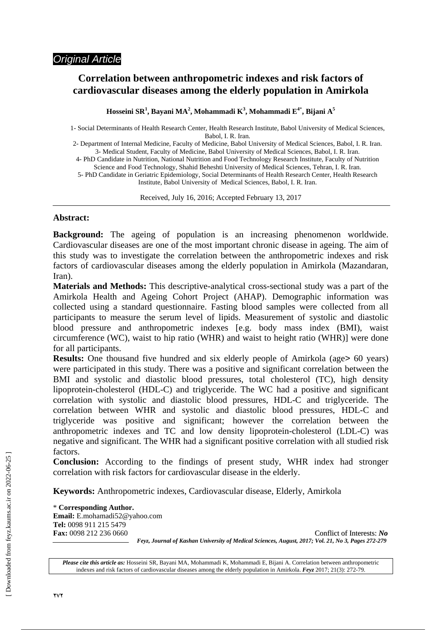# **Correlation between anthropometric indexes and risk factors of cardiovascular diseases among the elderly population in Amirkola**

**Hosseini SR<sup>1</sup> , Bayani MA<sup>2</sup> , Mohammadi K3 , Mohammadi E4**\* **, Bijani A5** 

1- Social Determinants of Health Research Center, Health Research Institute, Babol University of Medical Sciences, Babol, I. R. Iran.

2- Department of Internal Medicine, Faculty of Medicine, Babol University of Medical Sciences, Babol, I. R. Iran. 3- Medical Student, Faculty of Medicine, Babol University of Medical Sciences, Babol, I. R. Iran.

4- PhD Candidate in Nutrition, National Nutrition and Food Technology Research Institute, Faculty of Nutrition Science and Food Technology, Shahid Beheshti University of Medical Sciences, Tehran, I. R. Iran.

5- PhD Candidate in Geriatric Epidemiology, Social Determinants of Health Research Center, Health Research Institute, Babol University of Medical Sciences, Babol, I. R. Iran.

Received, July 16, 2016; Accepted February 13, 2017

 $\overline{a}$ 

## **Abstract:**

**Background:** The ageing of population is an increasing phenomenon worldwide. Cardiovascular diseases are one of the most important chronic disease in ageing. The aim of this study was to investigate the correlation between the anthropometric indexes and risk factors of cardiovascular diseases among the elderly population in Amirkola (Mazandaran, Iran).

**Materials and Methods:** This descriptive-analytical cross-sectional study was a part of the Amirkola Health and Ageing Cohort Project (AHAP). Demographic information was collected using a standard questionnaire. Fasting blood samples were collected from all participants to measure the serum level of lipids. Measurement of systolic and diastolic blood pressure and anthropometric indexes [e.g. body mass index (BMI), waist circumference (WC), waist to hip ratio (WHR) and waist to height ratio (WHR)] were done for all participants.

**Results:** One thousand five hundred and six elderly people of Amirkola (age> 60 years) were participated in this study. There was a positive and significant correlation between the BMI and systolic and diastolic blood pressures, total cholesterol (TC), high density lipoprotein-cholesterol (HDL-C) and triglyceride. The WC had a positive and significant correlation with systolic and diastolic blood pressures, HDL-C and triglyceride. The correlation between WHR and systolic and diastolic blood pressures, HDL-C and triglyceride was positive and significant; however the correlation between the anthropometric indexes and TC and low density lipoprotein-cholesterol (LDL-C) was negative and significant. The WHR had a significant positive correlation with all studied risk factors.

**Conclusion:** According to the findings of present study, WHR index had stronger correlation with risk factors for cardiovascular disease in the elderly.

**Keywords:** Anthropometric indexes, Cardiovascular disease, Elderly, Amirkola

\* **Corresponding Author. Email:** E.mohamadi52@yahoo.com **Tel:** 0098 911 215 5479

**Fax:** 0098 212 236 0660 Conflict of Interests: *No Feyz, Journal of Kashan University of Medical Sciences, August, 2017; Vol. 21, No 3, Pages 272-279* 

*Please cite this article as:* Hosseini SR, Bayani MA, Mohammadi K, Mohammadi E, Bijani A. Correlation between anthropometric indexes and risk factors of cardiovascular diseases among the elderly population in Amirkola. *Feyz* 2017; 21(3): 272-79.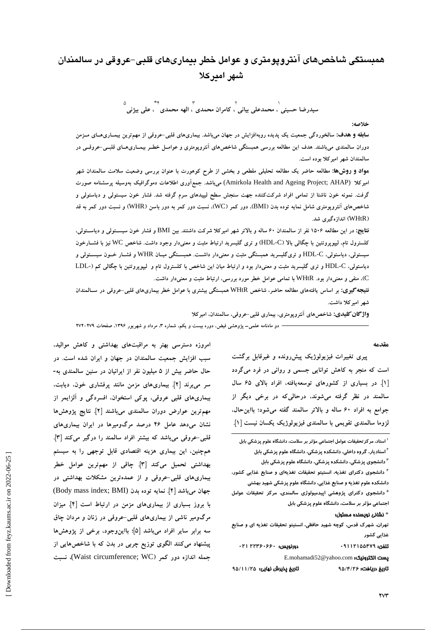# **همبستگي شاخصهاي آنتروپومتري و عوامل خطر بيماريهاي قلبي-عروقي در سالمندان شهر اميركلا**

1 **سيدرضا حسيني** 2 **، محمدعلي بياني** 3 **، كامران محمدي**  $*\star$ **، الهه محمدي** <sup>5</sup>**، علي بيژني**

**خلاصه:** 

**سابقه و هدف:** سالخوردگی جمعیت یک یدیده روبهافزایش در جهان میباشد. بیماریهای قلبی-عروقی از مهمترین بیمـاریهـای مــزمن دوران سالمندی میباشند. هدف این مطالعه بررسی همبستگی شاخص۵مای آنتروپومتری و عوامـل خطـر بیمــاریهــای قلبــی-عروقــی در **سالمندان شهر اميركلا بوده است.** 

<mark>مواد و روش&:</mark> مطالعه حاضر یک مطالعه تحلیلی مقطعی و بخشی از طرح کوهورت با عنوان بررسی وضعیت سلامت سالمندان شهر **اميركلا** (AHAP; Project Ageing and Health Amirkola (**ميباشد. جمعآوري اطلاعات دموگرافيك بهوسيله پرسشنامه صورت** گرفت. نمونه خون ناشتا از تمامی افراد شرکتکننده جهت سنجش سطح لیپیدهای سرم گرفته شد. فشار خون سیستولی و دیاستولی و شاخصهای آنترویومتری شامل نمایه توده بدن (BMI)، دور کمر (WC)، نسبت دور کمر به دور باسن (WHR) و نسبت دور کمر به قد **(**WHtR **(اندازهگيري شد.** 

نقایج: در این مطالعه ۱۵۰۶ نفر از سالمندان ۶۰ ساله و بالاتر شهر امیرکلا شرکت داشتند. بین BMI و فشار خون سیســتولی و دیاســتولی، کلسترول تام. لیپوپروتئین با چگالی بالا (HDL-C) و تری گلیسرید ارتباط مثبت و معنیدار وجود داشت. شاخص WC نیز با فشــارخون سیستولی، دیاستولی، HDL-C و تریگلیسرید همبستگی مثبت و معنیدار داشــت. همبســتگی میــان WHR و فشــار خــون سیســتولی و دیاستولی، HDL-C و تری گلیسرید مثبت و معنی دار بود و ارتباط میان این شاخص با کلسترول تام و لیپویروتئین با چگالی کم (-LDL C**(، منفي و معنيدار بود.** WHtR **با تمامي عوامل خطر مورد بررسي، ارتباط مثبت و معنيدار داشت.** 

نتیجه گیری: بر اساس یافتههای مطالعه حاضر، شاخص WHtR همبستگی بیشتری با عوامل خطر بیماریهای قلبی-عروقی در سـالمندان **شهر اميركلا داشت.** 

**واژگانكليدي: شاخصهاي آنتروپومتري، بيماري قلبي-عروقي، سالمندان، اميركلا** 

— دو ماهنامه علمی– پژوهشی فیض، دوره بیست و یکم، شماره ۳، مرداد و شهریور ۱۳۹۶. صفحات ۲۷۹–۲۷۲

#### **مقدمه**

**پيري تغييرات فيزيولوژيك پيشرونده و غيرقابل برگشت است كه منجر به كاهش توانايي جسمي و رواني در فرد ميگردد [1]. در بسياري از كشورهاي توسعهيافته، افراد بالاي 65 سال سالمند در نظر گرفته ميشوند، درحاليكه در برخي ديگر از جوامع به افراد 60 ساله و بالاتر سالمند گفته ميشود؛ بااينحال، لزوما سالمندي تقويمي با سالمندي فيزيولوژيك يكسان نيست [1].** 

**استاد، مركزتحقيقات عوامل اجتماعي مؤثر بر سلامت، دانشگاه علوم پزشكي بابل <sup>1</sup> استاديار، گروه داخلي، دانشكده پزشكي، دانشگاه علوم پزشكي بابل <sup>2</sup> دانشجوي پزشكي، دانشكده پزشكي، دانشگاه علوم پزشكي بابل <sup>3</sup> دانشجوي دكتراي تغذيه، انستيتو تحقيقات تغذيهاي و صنايع غذايي كشور، <sup>4</sup> دانشكده علوم تغذيه و صنايع غذايي، دانشگاه علوم پزشكي شهيد بهشتي دانشجوي دكتراي پژوهشي اپيدميولوژي سالمندي، مركز تحقيقات عوامل <sup>5</sup> اجتماعي مؤثر بر سلامت، دانشگاه علوم پزشكي بابل** 

#### \* نشاني نويسنده مسئول:

**تهران، شهرك قدس، كوچه شهيد حافظي، انستيتو تحقيقات تغذيه اي و صنايع غذايي كشور** 

تلفن: **09112155479** دورنويس: **22360660 021**  E.mohamadi52@yahoo.com :الكترونيك پست

تاريخ دريافت: **95/4/26** تاريخ پذيرش نهايي: **95/11/25** 

**امروزه دسترسي بهتر به مراقبتهاي بهداشتي و كاهش مواليد، سبب افزايش جمعيت سالمندان در جهان و ايران شده است. در حال حاضر بيش از 5 ميليون نفر از ايرانيان در سنين سالمندي به- سر ميبرند [2]. بيماريهاي مزمن مانند پرفشاري خون، ديابت، بيماريهاي قلبي عروقي، پوكي استخوان، افسردگي و آلزايمر از مهمترين عوارض دوران سالمندي ميباشند [2]. نتايج پژوهشها نشان ميدهد عامل 46 درصد مرگوميرها در ايران بيماريهاي قلبي-عروقي ميباشد كه بيشتر افراد سالمند را درگير ميكند [3]. همچنين، اين بيماري هزينه اقتصادي قابل توجهي را به سيستم بهداشتي تحميل ميكند [3]. چاقي از مهمترين عوامل خطر بيماريهاي قلبي-عروقي و از عمدهترين مشكلات بهداشتي در جهان ميباشد [4]. نمايه توده بدن** (BMI; index mass Body( **با بروز بسياري از بيماريهاي مزمن در ارتباط است [4]. ميزان مرگومير ناشي از بيماريهاي قلبي-عروقي در زنان و مردان چاق سه برابر ساير افراد ميباشد [5]؛ بااينوجود، برخي از پژوهشها پيشنهاد ميكنند الگوي توزيع چربي در بدن كه با شاخصهايي از جمله اندازه دور كمر (**WC; circumference Waist(**، نسبت**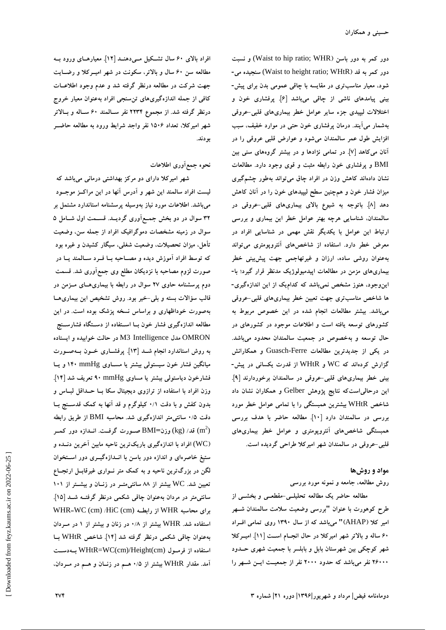**دور كمر به دور باسن (**WHR; ratio hip to Waist (**و نسبت دور كمر به قد (**WHtR; ratio height to Waist (**سنجيده مي- شود، معيار مناسبتري در مقايسه با چاقي عمومي بدن براي پيش- بيني پيامدهاي ناشي از چاقي ميباشد [6]. پرفشاري خون و اختلالات ليپيدي جزء ساير عوامل خطر بيماريهاي قلبي-عروقي بهشمار ميآيند. درمان پرفشاري خون حتي در موارد خفيف، سبب افزايش طول عمر سالمندان ميشود و عوارض قلبي عروقي را در آنان ميكاهد [7]. در تمامي نژادها و در بيشتر گروههاي سني بين** BMI **و پرفشاري خون رابطه مثبت و قوي وجود دارد. مطالعات نشان دادهاند كاهش وزن در افراد چاق ميتواند بهطور چشمگيري ميزان فشار خون و همچنين سطح ليپيدهاي خون را در آنان كاهش دهد [8]. باتوجه به شيوع بالاي بيماريهاي قلبي-عروقي در سالمندان، شناسايي هرچه بهتر عوامل خطر اين بيماري و بررسي ارتباط اين عوامل با يكديگر نقش مهمي در شناسايي افراد در معرض خطر دارد. استفاده از شاخصهاي آنتروپومتري ميتواند بهعنوان روشي ساده، ارزان و غيرتهاجمي جهت پيشبيني خطر بيماريهاي مزمن در مطالعات اپيدميولوژيك مدنظر قرار گيرد؛ با- اينوجود، هنوز مشخص نميباشد كه كداميك از اين اندازهگيري- ها شاخص مناسبتري جهت تعيين خطر بيماريهاي قلبي-عروقي ميباشد. بيشتر مطالعات انجام شده در اين خصوص مربوط به كشورهاي توسعه يافته است و اطلاعات موجود در كشورهاي در حال توسعه و بهخصوص در جمعيت سالمندان محدود ميباشد. در يكي از جديدترين مطالعات** Ferre-Guasch **و همكارانش گزارش كردهاند كه** WC **و** WHtR **از قدرت يكساني در پيش- بيني خطر بيماريهاي قلبي-عروقي در سالمندان برخوردارند [9]. اين درحالياستكه نتايج پژوهش** Gelber **و همكاران نشان داد شاخص** WHtR **بيشترين همبستگي را با تمامي عوامل خطر مورد بررسي در سالمندان دارد [10]. مطالعه حاضر با هدف بررسي همبستگي شاخصهاي آنتروپومتري و عوامل خطر بيماريهاي قلبي-عروقي در سالمندان شهر اميركلا طراحي گرديده است.** 

#### **مواد و روشها**

**روش مطالعه، جامعه و نمونه مورد بررسي** 

**مطالعه حاضر يك مطالعه تحليلـي-مقطعـي و بخشـي از طرح كوهورت با عنوان "بررسي وضعيت سلامت سالمندان شـهر امير كلا (**AHAP **"(ميباشد كه از سال 1390 روي تمامي افـراد 60 ساله و بالاتر شهر اميركلا در حال انجـام اسـت [11]. اميـركلا شهر كوچكي بين شهرستان بابل و بابلسر با جمعيت شهري حـدود 26000 نفر ميباشد كه حدود 2000 نفر از جمعيـت ايـن شـهر را**

**افراد بالاي 60 سال تشـكيل مـيدهنـد [12]. معيارهـاي ورود بـه مطالعه سن 60 سال و بالاتر، سكونت در شهر اميـركلا و رضـايت جهت شركت در مطالعه درنظر گرفته شد و عدم وجود اطلاعـات كافي از جمله اندازهگيريهاي تنسنجي افراد بهعنوان معيار خروج درنظر گرفته شد. از مجموع 2234 نفر سـالمند 60 سـاله و بـالاتر شهر اميركلا، تعداد 1506 نفر واجد شرايط ورود به مطالعه حاضـر بودند.** 

### **نحوه جمعآوري اطلاعات**

**شهر اميركلا داراي دو مركز بهداشتي درماني ميباشد كه ليست افراد سالمند اين شهر و آدرس آنها در اين مراكـز موجـود ميباشد. اطلاعات مورد نياز بهوسيله پرسشنامه استاندارد مشتمل بر 32 سوال در دو بخش جمـعآوري گرديـد. قسـمت اول شـامل 5 سوال در زمينه مشخصات دموگرافيك افراد از جمله سن، وضعيت تأهل، ميزان تحصيلات، وضعيت شغلي، سيگار كشيدن و غيره بود كه توسط افراد آموزش ديده و مصـاحبه بـا فـرد سـالمند يـا در صورت لزوم مصاحبه با نزديكان مطلع وي جمعآوري شد. قسمت دوم پرسشنامه حاوي 27 سوال در رابطه با بيماريهـاي مـزمن در قالب سؤالات بسته و بلي-خير بود. روش تشخيص اين بيماريهـا بهصورت خوداظهاري و براساس نسخه پزشك بوده است. در اين مطالعه اندازهگيري فشار خون بـا اسـتفاده از دسـتگاه فشارسـنج** OMRON **مدل** Intelligence 3M **در حالت خوابيده و ايستاده به روش استاندارد انجام شـد [13]. پرفشـاري خـون بـهصـورت ميانگين فشار خون سيستولي بيشتر يا مسـاوي** mmHg **140 و يـا فشارخون دياستولي بيشتر يا مساوي** mmHg **90 تعريف شد [14]. وزن افراد با استفاده از ترازوي ديجيتال سكا بـا حـداقل لبـاس و بدون كفش و با دقت 0/1 كيلوگرم و قد آنها به كمك قدسـنج بـا دقت 0/5 سانتيمتر اندازهگيري شد. محاسبه** BMI **از طريق رابطه** ( **قد/** (kg (**وزن=**BMI **صـورت گرفـت. انـدازه دور كمـر** 2m( **(**WC (**افراد با اندازهگيري باريكترين ناحيه مابين آخرين دنـده و ستيغ خاصرهاي و اندازه دور باسن با انـدازهگيـري دور اسـتخوان لگن در بزرگترين ناحيه و به كمك متر نـواري غيرقابـل ارتجـاع تعيين شد.** WC **بيشتر از 88 سانتيمتـر در زنـان و بيشـتر از 101 سانتيمتر در مردان بهعنوان چاقي شكمي درنظر گرفتـه شـد [15].** WHR=WC (cm) /HiC (cm) **رابطـه از** WHR **محاسبه براي استفاده شد.** WHR **بيشتر از 0/8 در زنان و بيشتر از 1 در مـردان بهعنوان چاقي شكمي درنظر گرفته شد [14]. شاخص** WHtR **بـا بـهدسـت** WHtR=WC(cm)/Height(cm) **فرمـول از استفاده آمد. مقدار** WHtR **بيشتر از 0/5 هـم در زنـان و هـم در مـردان،**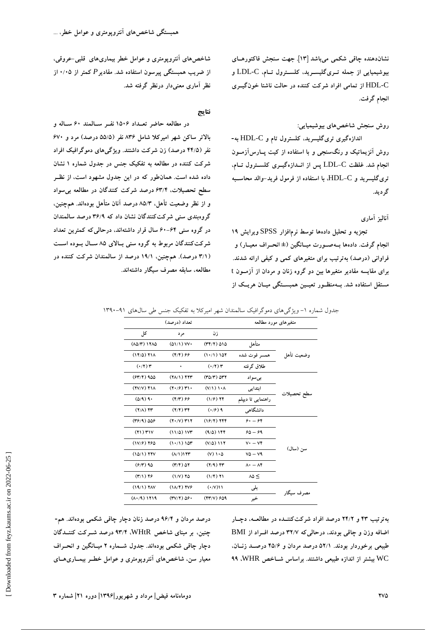**نشاندهنده چاقي شكمي ميباشد [13]. جهت سنجش فاكتورهـاي بيوشيميايي از جمله تـريگليسـريد، كلسـترول تـام،** C-LDL **و** C-HDL **از تمامي افراد شركت كننده در حالت ناشتا خونگيـري انجام گرفت.** 

#### **روش سنجش شاخصهاي بيوشيميايي:**

**اندازهگيري تريگليسريد، كلسترول تام و** C-HDL **به- روش آنزيماتيك و رنگسنجي و با استفاده از كيت پـارسآزمـون انجام شد. غلظت** C-LDL **پس از انـدازهگيـري كلسـترول تـام، تريگليسريد و** C-HDL**، با استفاده از فرمول فريد-والد محاسـبه گرديد.** 

**آناليز آماري** 

**تجزيه و تحليل دادهها توسط نرمافزار** SPSS **ويرايش 19 انجام گرفت. دادهها بـهصـورت ميـانگين (± انحـراف معيـار) و فراواني (درصد) بهترتيب براي متغيرهاي كمي و كيفي ارائه شدند. براي مقايسه مقادير متغيرها بين دو گروه زنان و مردان از آزمـون** t **مستقل استفاده شد. بـهمنظـور تعيـين همبسـتگي ميـان هريـك از**

**شاخصهاي آنتروپومتري و عوامل خطر بيماريهاي قلبي-عروقي، از ضريب همبستگي پيرسون استفاده شد. مقادير***P* **كمتر از 0/05 از نظر آماري معنيدار درنظر گرفته شد.** 

#### **نتايج**

**در مطالعه حاضر تعـداد 1506 نفـر سـالمند 60 سـاله و بالاتر ساكن شهر اميركلا شامل 836 نفر (55/5 درصد) مرد و 670 نفر (44/5 درصد) زن شركت داشتند. ويژگيهاي دموگرافيك افراد شركت كننده در مطالعه به تفكيك جنس در جدول شماره 1 نشان داده شده است. همانطور كه در اين جدول مشهود است، از نظـر سطح تحصيلات، 63/4 درصد شركت كنندگان در مطالعه بيسواد و از نظر وضعيت تأهل، 85/3 درصد آنان متأهل بودهاند. همچنين، گروهبندي سني شركتكنندگان نشان داد كه 36/9 درصد سالمندان در گروه سني 60-64 سال قرار داشتهاند، درحاليكه كمترين تعداد شركتكنندگان مربوط به گروه سني بـالاي 85 سـال بـوده اسـت (3/1 درصد). همچنين، 19/1 درصد از سالمندان شركت كننده در مطالعه، سابقه مصرف سيگار داشتهاند.** 

جدول شماره ١- ويژگي هاي دموگرافيك سالمندان شهر اميركلا به تفكيك جنس طي سالهاي ٩١-١٣٩٠

|             | متغیرهای مورد مطالعه                      | تعداد (در صد)                                                      |                                             |                       |  |
|-------------|-------------------------------------------|--------------------------------------------------------------------|---------------------------------------------|-----------------------|--|
|             |                                           | زن                                                                 | مر د                                        | کل                    |  |
|             | متأهل                                     | $(77/7)$ $010$                                                     | $(01/1)$ VV $\cdot$                         | $(10/T)$ 1710         |  |
| وضعيت تأهل  | همسر فوت شده                              | $(1 \cdot / 1) 107$                                                | $(Y/\mathfrak{F})$ &&                       | $(17/0)$ $71A$        |  |
|             | طلاق گرفته                                | $(\cdot/\tau)$ $\tau$                                              | ٠                                           | $(\cdot/\tau)$ $\tau$ |  |
|             | بے سواد                                   | $(20/T)$ $\Delta T$                                                | $(Y\Lambda/1)$ $YYY$                        | $(FY/Y)$ 900          |  |
|             | ابتدایی                                   | $(Y/1)$ $\lambda$                                                  | $(Y \cdot \mathscr{F})$ $Y \cdot$           | $(7V/V)$ $71A$        |  |
| سطح تحصيلات | راهنمایی تا دیپلم                         | $(1/f)$ TF<br>$(Y/\tau)$ ۶۶<br>$(Y/Y)$ $YY$<br>$(\cdot/\hat{r})$ ٩ |                                             | $(0/9)$ 9.            |  |
|             | دانشگاهی                                  |                                                                    |                                             | $(Y/\Lambda)$ fr      |  |
|             | $\mathfrak{S}$ + $ \mathfrak{S}$          | $(19/7)$ TFF                                                       | $(Y \cdot / V)$ $Y \cdot Y$                 | $(49/9)$ 008          |  |
|             | $60 - 69$                                 | $(9/0)$ 144                                                        | (11/0) 1VT                                  | $(71)$ $T1V$          |  |
|             | $V^* - V^*$                               | $(V/\Delta)$ 117                                                   | (1.71) 107                                  | $(1V/F)$ 760          |  |
| سن (سال)    | $VQ - VQ$                                 | $(V) \cup \Delta$                                                  | $(\Lambda/\Lambda)$                         | $(10/1)$ YYV          |  |
|             | $\Lambda$ $\cdot$ $ \Lambda$ $\mathbf{f}$ | $(Y/9)$ fr                                                         | $(Y/\mathfrak{r})$ $\Delta \mathfrak{r}$    | $(6/7)$ 90            |  |
|             | $\lambda \Delta \leq$                     | $(1/f)$ $Y1$                                                       | $(1/V)$ 70                                  | $(1)$ 1) $19$         |  |
|             | بلى                                       | (·/V)                                                              | $(1\Lambda/\mathfrak{F})$ TV $\mathfrak{F}$ | $(19/1)$ YAV          |  |
| مصر ف سیگار | خير                                       | $(YY/V)$ $699$                                                     | $(7V/Y)$ $\Delta$ ۶.                        | $(1.49)$ 1719         |  |

**درصد مردان و 96/4 درصد زنان دچار چاقي شكمي بودهاند. هم- چنين، بر مبناي شاخص** WHtR**، 93/4 درصد شـركت كننـدگان دچار چاقي شكمي بودهاند. جدول شـماره 2 ميـانگين و انحـراف معيار سن، شاخصهاي آنتروپومتري و عوامل خطـر بيمـاريهـاي**

**بهترتيب 43 و 24/2 درصد افراد شركتكننـده در مطالعـه، دچـار اضافه وزن و چاقي بودند، درحاليكه 32/7 درصد افـراد از** BMI **طبيعي برخوردار بودند. 52/1 درصد مردان و 45/6 درصـد زنـان،** WC **بيشتر از اندازه طبيعي داشتند. براساس شـاخص** WHR**، 99**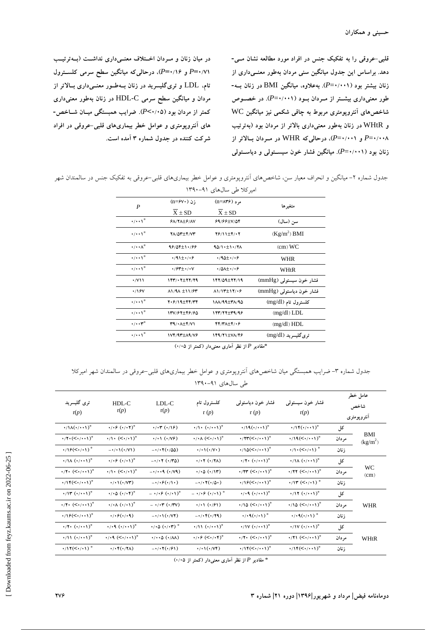**قلبي-عروقي را به تفكيك جنس در افراد مورد مطالعه نشان مـي- دهد. براساس اين جدول ميانگين سني مردان بهطور معنـيداري از زنان بيشتر بود (0/001**=*P***(. بهعلاوه، ميانگين** BMI **در زنان بـه- طور معنيداري بيشـتر از مـردان بـود (0/001**=*P***(. در خصـوص شاخصهاي آنتروپومتري مربوط به چاقي شكمي نيز ميانگين** WC **و** WHtR **در زنان بهطور معنيداري بالاتر از مردان بود (بهترتيب 0/008**=*P* **و 0/001**=*P***(، درحاليكه** WHR **در مـردان بـالاتر از زنان بود (0/001**=*P***(. ميانگين فشار خون سيسـتولي و دياسـتولي**

**در ميان زنان و مـردان اخـتلاف معنـيداري نداشـت (بـهترتيـب 0/71=***P* **و 0/16=***P***(، درحاليكه ميانگين سطح سرمي كلسـترول تام،** LDL **و تريگليسريد در زنان بـهطـور معنـيداري بـالاتر از مردان و ميانگين سطح سرمي** C-HDL **در زنان بهطور معنيداري كمتر از مردان بود (0/05>***P***(. ضرايب همبستگي ميـان شـاخص- هاي آنتروپومتري و عوامل خطر بيماريهاي قلبي-عروقي در افراد شركت كننده در جدول شماره 3 آمده است.** 

جدول شماره ۲- ميانگين و انحراف معيار سن، شاخصهاي آنتروپومتري و عوامل خطر بيماريهاي قلبي-عروقي به تفكيك جنس در سالمندان شهر

| امیر کلا طی سال\$ای ۹۱–۱۳۹۰            |                                       |                                            |                                      |  |  |  |  |  |  |
|----------------------------------------|---------------------------------------|--------------------------------------------|--------------------------------------|--|--|--|--|--|--|
| P                                      | ;ن (n=۶۷۰);                           | مر د (n=۸۳۶)                               | متغيرها                              |  |  |  |  |  |  |
|                                        | $X \pm SD$                            | $X \pm SD$                                 |                                      |  |  |  |  |  |  |
| $\cdot/\cdot\cdot$ \*                  | $6\lambda$ /Y $\lambda \pm 6$ /AV     | $99/99 \pm V/09$                           | سن (سال)                             |  |  |  |  |  |  |
| $\cdot$ / $\cdot$ $\cdot$ <sup>*</sup> | <b>YA/OY±Y/VY</b>                     | 76/11±4/07                                 | $(Kg/m^2)$ BMI                       |  |  |  |  |  |  |
| $\cdot/\cdot\cdot\wedge^{\circ}$       | 98/04±1.188                           | 90/1.11/17                                 | $\left($ cm $\right)$ WC             |  |  |  |  |  |  |
| $\cdot$ / $\cdot$ $\cdot$ <sup>*</sup> | $\cdot$ /91 $\pm$ $\cdot$ / $\cdot$ ۶ | $\cdot$ /90 $\pm$ $\cdot$ / $\cdot$ ۶      | WHR                                  |  |  |  |  |  |  |
| $\cdot$ / $\cdot$ $\cdot$ <sup>*</sup> | $\cdot$ / $5$ ۳+ $\cdot$ / $\cdot$ V  | $\cdot$ /0 $\lambda$ + $\cdot$ / $\cdot$ ۶ | WHtR                                 |  |  |  |  |  |  |
| $\cdot$ /V\\                           | 1437.277779                           | 147/09±77/19                               | فشار خون سیستول <sub>ی</sub> (mmHg)  |  |  |  |  |  |  |
| $\cdot$ /16V                           | $\lambda$ 1/9 $\lambda \pm 11/9$ ۳    | $\lambda$ 1/13 $\pm$ 17/06                 | فشار خون دیاستول <sub>ی</sub> (mmHg) |  |  |  |  |  |  |
| $\cdot/\cdot\cdot$ \*                  | 2.6/19±44/44                          | 188/199178                                 | کلسترول تام (mg/dl)                  |  |  |  |  |  |  |
| $\cdot$ / $\cdot$ $\cdot$ <sup>*</sup> | 137/67±46/60                          | 17377±39/96                                | $(mg/dl)$ LDL                        |  |  |  |  |  |  |
| $\cdot/\cdot\cdot$ r <sup>o</sup>      | $T9/11+T5/1$                          | 44/477746                                  | (mg/dl) HDL                          |  |  |  |  |  |  |
| $\cdot/\cdot\cdot$ \*                  | 1VF/97±19/V&                          | 149/71±VA/46                               | تری گلیسرید (mg/dl)                  |  |  |  |  |  |  |
|                                        |                                       |                                            |                                      |  |  |  |  |  |  |

\***مقادير** *P* **از نظر آماري معنيدار (كمتر از 0/05)** 

جدول شماره ٣- ضرايب همبستگي ميان شاخص،هاي آنتروپومتري و عوامل خطر بيماري،اي قلبي-عروقي در سالمندان شهر اميركلا طي سالهاي ۹۱-۱۳۹۰

| ترى گليسريد<br>r(p)                                            | $HDL-C$<br>r(p)                                                 | LDL-C<br>r(p)                                       | كلسترول تام<br>r(p)                                           | فشار خون دياستولى<br>r(p)                                      | فشار خون سیستولمی<br>r(p)                                     |        | عامل خطر<br>شاخص<br>انتروپومتری |
|----------------------------------------------------------------|-----------------------------------------------------------------|-----------------------------------------------------|---------------------------------------------------------------|----------------------------------------------------------------|---------------------------------------------------------------|--------|---------------------------------|
| $\cdot/\mathcal{M}(\cdot/\cdot\cdot\mathcal{N})^*$             | $\cdot/\cdot\hat{r}(\cdot/\cdot\mathsf{Y})^{\circ}$             | $\cdot/\cdot \tau (\cdot/\sqrt{2})$                 | $\cdot/\cdot \cdot (\cdot/\cdot \cdot)^{\circ}$               | $\cdot/19(\cdot/\cdot\cdot1)^*$                                | $\cdot/\mathcal{N}(\cdot/\cdot\cdot\mathcal{N})^{\circ}$      | کل     |                                 |
| $\cdot$ /۲ $\cdot$ (< $\cdot$ / $\cdot$ $\cdot$ ) <sup>*</sup> | $\cdot/\cdot$ (< $\cdot/\cdot\cdot$ ) $^{\circ}$                | $\cdot / \cdot ( \cdot / \sqrt{2})$                 | $\cdot/\cdot\wedge$ ( $\leq \cdot/\cdot\wedge$ ) <sup>*</sup> | $\cdot$ /۲۳ $(<\cdot/\cdot\cdot)$ °                            | $\cdot$ /19 $(<\cdot/\cdot\cdot$ 1) <sup>o</sup>              | مر دان | BMI<br>$(kg/m^2)$               |
| $\cdot/\sqrt{9}$ (< $\cdot/\sqrt{)}$ <sup>*</sup>              | $-\cdot/(\cdot/(\cdot/(\cdot))$                                 | $-\cdot/\cdot \cdot (\cdot/\Delta\Delta)$           | $\cdot/\cdot\cdot(\cdot/\vee\cdot)$                           | $\cdot/\sqrt{0}(<\cdot/\cdot\cdot)$                            | $\cdot/\cdot$ (< $\cdot/\cdot$ ) <sup>*</sup>                 | زنان   |                                 |
| $\cdot/\Lambda$ $(\cdot/\cdot\cdot)$ <sup>*</sup>              | $\cdot$ / $\cdot$ ۶ $(\cdot/\cdot)$ °                           | $-\cdot$ / $\cdot$ ۲ ( $\cdot$ /۳۵)                 | $\cdot$ / $\cdot$ $\cdot$ ( $\cdot$ / $\tau$ $\wedge$ )       | $\cdot$ /۲ $\cdot$ $(\cdot/\cdot\cdot)$ <sup>*</sup>           | $\cdot/\Lambda (\cdot/\cdot\cdot)^{\circ}$                    | کل     | <b>WC</b><br>(cm)               |
| $\cdot$ /۲ $\cdot$ (< $\cdot$ / $\cdot$ $\cdot$ ) <sup>*</sup> | $\cdot/\cdot$ $(<\cdot/\cdot\cdot)$ <sup>*</sup>                | $-1/1.9$ ( $(1/19)$ )                               | $\cdot/\cdot \Delta$ $(\cdot/\Lambda \cdot)$                  | $\cdot$ /۲۳ $(<\!\!\cdot\!\!$ / $\cdot\!\!$ )*                 | $\cdot$ /۲۲ $(<\!\!\cdot\!\!$ / $\cdot\!\!$ ) <sup>*</sup>    | مر دان |                                 |
| $\cdot$ /\F(<\\times\) <sup>*</sup>                            | $\cdot/\cdot\cdot(\cdot/\sqrt{r})$                              | $-\cdot/\cdot \mathcal{E}(\cdot/\setminus \cdot)$   | $-\cdot/\cdot \cdot (\cdot/\Delta \cdot)$                     | $\cdot$ /19(< $\cdot$ / $\cdot$ 1) <sup>*</sup>                | $\cdot$ /۱۳ (< $\cdot$ / $\cdot$ ۱) $\degree$                 | زنان   |                                 |
| $\cdot/\mathcal{N}(\cdot/\cdot\cdot\mathcal{N})^{\circ}$       | $\cdot/\cdot \Delta (\cdot/\cdot \mathfrak{r})^{\circ}$         | $ \cdot$ / $\cdot$ ۶ $(\cdot/\cdot)$ <sup>*</sup>   | $ \cdot$ / $\cdot$ ۶ $(\cdot/\cdot)$ <sup>*</sup>             | $\cdot$ / $\cdot$ 9 $(\cdot/\cdot\cdot)$ <sup>*</sup>          | $\cdot$ /17 $(\cdot/\cdot\cdot)$ <sup>*</sup>                 | کل     | <b>WHR</b>                      |
| $\cdot$ /۲ $\cdot$ ( $\leq \cdot/\cdot\cdot$ ) <sup>*</sup>    | $\cdot/\cdot \wedge (\cdot/\cdot)$ <sup>*</sup>                 | $ \cdot$ / $\cdot$ ۳ $(\cdot$ /۳۷)                  | $\cdot/\cdot\cdot($ ./ $\cdot$ /)                             | $\cdot$ /10 (< $\cdot$ / $\cdot$ 1) <sup>*</sup>               | $\cdot$ /10 (< $\cdot$ / $\cdot$ 1) <sup>*</sup>              | مر دان |                                 |
| $\cdot/\sqrt{2}$ $(<\cdot/\cdot\cdot\sqrt{2})$                 | $\cdot/\cdot\mathcal{F}(\cdot/\cdot\mathbf{q})$                 | $-\cdot/\cdot$ \ $(\cdot/\forall \tau)$             | $-1.55(1.79)$                                                 | $\cdot$ / $\cdot$ 9( $\cdot$ / $\cdot$ 1) <sup>*</sup>         | $\cdot$ / $\cdot$ 9( $\cdot$ / $\cdot$ 1) $^{\circ}$          | زنان   |                                 |
| $\cdot$ /۲ $\cdot$ $(\cdot/\cdot\cdot)$ <sup>*</sup>           | $\cdot$ / $\cdot$ ۹ $(\cdot/\cdot\cdot)$ <sup>*</sup>           | $\cdot/\cdot$ ( $\cdot/\cdot$ ) $^{\circ}$          | $\cdot$ /11 $(\cdot/\cdot\cdot)$ <sup>*</sup>                 | $\cdot$ /1Y $(\cdot/\cdot\cdot)$ <sup>*</sup>                  | $\cdot$ /1Y $(\cdot/\cdot\cdot)$ <sup>*</sup>                 | کل     | WHtR                            |
| $\cdot$ /11 $(\cdot/\cdot\cdot1)^{\circ}$                      | $\cdot$ / $\cdot$ 9 (< $\cdot$ / $\cdot$ $\cdot$ ) <sup>*</sup> | $\cdot/\cdot\cdot$ $\circ$ $(\cdot/\lambda\lambda)$ | $\cdot$ / $\cdot$ ۶ (< $\cdot$ / $\cdot$ ۴) $\circ$           | $\cdot$ /۲ $\cdot$ (< $\cdot$ / $\cdot$ $\cdot$ ) <sup>*</sup> | $\cdot$ /71 (< $\cdot$ / $\cdot$ 1) <sup>*</sup>              | مر دان |                                 |
| $\cdot/17(<\cdot/\cdot1)^{2}$                                  | $\cdot/\cdot$ $\mathfrak{r}(\cdot/\mathfrak{r}\Lambda)$         | $-1/17(+191)$                                       | $\cdot/\cdot$ \ $(\cdot/\forall f)$                           | $\cdot/\mathcal{N}(\leq \cdot/\cdot\cdot\mathcal{N})^*$        | $\cdot/\mathcal{N}(\leq \cdot/\cdot\cdot\mathcal{N})^{\circ}$ | زنان   |                                 |

\* **مقادير** *P* **از نظر آماري معنيدار (كمتر از 0/05)**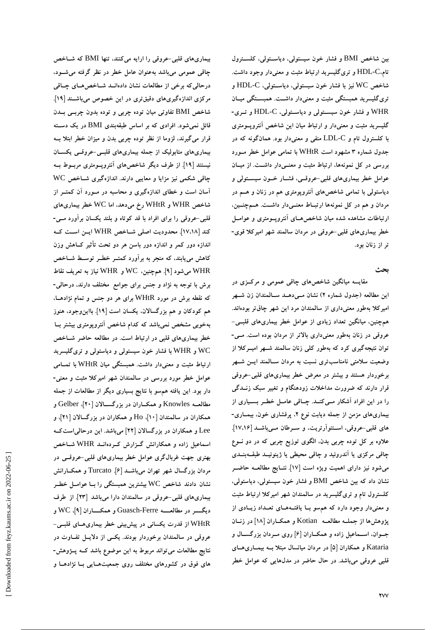**بين شاخص** BMI **و فشار خون سيستولي، دياسـتولي، كلسـترول تام،**C-HDL **و تريگليسريد ارتباط مثبت و معنيدار وجود داشت. شاخص** WC **نيز با فشار خون سيستولي، دياسـتولي،** C-HDL **و تريگليسريد همبستگي مثبت و معنيدار داشـت. همبسـتگي ميـان** WHR **و فشار خون سيسـتولي و دياسـتولي،** C-HDL **و تـري- گليسريد مثبت و معنيدار و ارتباط ميان اين شاخص آنتروپـومتري با كلسترول تام و** C-LDL **منفي و معنيدار بود. همانگونه كه در جدول شماره 3 مشهود است** WHtR **با تمامي عوامل خطر مـورد بررسي در كل نمونهها، ارتباط مثبت و معنـيدار داشـت. از ميـان عوامل خطر بيماريهاي قلبي-عروقـي، فشـار خـون سيسـتولي و دياستولي با تمامي شاخصهاي آنتروپومتري هم در زنان و هـم در مردان و هم در كل نمونهها ارتبـاط معنـيدار داشـت. هـمچنـين، ارتباطات مشاهده شده ميان شاخصهـاي آنتروپـومتري و عوامـل خطر بيماريهاي قلبي-عروقي در مردان سالمند شهر اميركلا قوي- تر از زنان بود.** 

**بحث** 

**مقايسه ميانگين شاخصهاي چاقي عمومي و مركـزي در اين مطالعه (جدول شماره 2) نشان مـيدهـد سـالمندان زن شـهر اميركلا بهطور معنيداري از سالمندان مرد اين شهر چاقتر بودهاند. همچنين، ميانگين تعداد زيادي از عوامل خطر بيماريهاي قلبـي- عروقي در زنان بهطور معنيداري بالاتر از مردان بوده است. مـي- توان نتيجهگيري كرد كه بهطور كلي زنان سالمند شـهر اميـركلا از وضعيت سلامتي نامناسبتري نسبت به مردان سـالمند ايـن شـهر برخوردار هستند و بيشتر در معرض خطر بيماريهاي قلبي-عروقي قرار دارند كه ضرورت مداخلات زودهنگام و تغيير سبك زنـدگي را در اين افراد آشكار مـيكنـد. چـاقي عامـل خطـر بسـياري از بيماريهاي مزمن از جمله ديابت نوع ،2 پرفشاري خون، بيمـاري- هاي قلبي-عروقي، اسـتئوآرتريت، و سـرطان مـيباشـد [17،16]. علاوه بر كل توده چربي بدن، الگوي توزيع چربي كه در دو نـوع چاقي مركزي يا آندروئيد و چاقي محيطي يا ژينوئيـد طبقـهبنـدي ميشود نيز داراي اهميت ويژه است [17]. نتـايج مطالعـه حاضـر نشان داد كه بين شاخص** BMI **و فشار خون سيستولي، دياستولي، كلسترول تام و تريگليسريد در سالمندان شهر اميركلا ارتباط مثبت و معنيدار وجود دارد كه همسو بـا يافتـههـاي تعـداد زيـادي از پژوهشها از جملـه مطالعـه** Kotian **و همكـاران [18] در زنـان جـوان، اسـماعيل زاده و همكـاران [6] روي مـردان بزرگسـال و** Kataria **و همكاران [5] در مردان ميانسال مبتلا بـه بيمـاريهـاي قلبي عروقي ميباشد. در حال حاضر در مدلهايي كه عوامل خطر**

**بيماريهاي قلبي-عروقي را ارايه ميكنند، تنها** BMI **كه شـاخص چاقي عمومي ميباشد بهعنوان عامل خطر در نظر گرفته ميشـود، درحاليكه برخي از مطالعات نشان دادهانـد شـاخصهـاي چـاقي مركزي اندازهگيريهاي دقيقتري در اين خصوص ميباشـند [19]. شاخص** BMI **تفاوتي ميان توده چربي و توده بدون چربـي بـدن قائل نميشود. افرادي كه بر اساس طبقهبندي** BMI **در يك دسـته قرار ميگيرند، لزوما از نظر توده چربي بدن و ميزان خطر ابتلا بـه بيماريهاي متابوليك از جمله بيماريهاي قلبـي-عروقـي يكسـان نيستند [19]. از طرف ديگر شاخصهاي آنتروپـومتري مربـوط بـه چاقي شكمي نيز مزايا و معايبي دارند. اندازهگيري شـاخص** WC **آسان است و خطاي اندازهگيري و محاسبه در مـورد آن كمتـر از شاخص** WHR **و** WHtR **رخ ميدهد، اما** WC **خطر بيماريهاي قلبي-عروقي را براي افراد با قد كوتاه و بلند يكسان برآورد مـي- كند [17،18]. محدوديت اصلي شـاخص** WHR **ايـن اسـت كـه اندازه دور كمر و اندازه دور باسن هر دو تحت تأثير كـاهش وزن كاهش مييابند، كه منجر به برآورد كمتـر خطـر توسـط شـاخص** WHR **ميشود [9]. همچنين،** WC **و** WHR **نياز به تعريف نقاط برش با توجه به نژاد و جنس براي جوامع مختلف دارند، درحالي- كه نقطه برش در مورد** WHtR **براي هر دو جنس و تمام نژادهـا، هم كودكان و هم بزرگسالان، يكسان است [19]. بااينوجود، هنوز بهخوبي مشخص نميباشد كه كدام شاخص آنتروپومتري بيشتر بـا خطر بيماريهاي قلبي در ارتباط است. در مطالعه حاضر شـاخص** WC **و** WHR **با فشار خون سيستولي و دياستولي و تريگليسريد ارتباط مثبت و معنيدار داشت. همبستگي ميان** WHtR **با تمـامي عوامل خطر مورد بررسي در سالمندان شهر اميركلا مثبت و معني- دار بود. اين يافته همسو با نتايج بسياري ديگر از مطالعات از جمله مطالعـه** Knowles **و همكـاران در بزرگسـالان [20]،** Gelber **و همكاران در سالمندان [10]،** Ho **و همكاران در بزرگسالان [21]، و** Lee **و همكاران در بزرگسالان [22] ميباشد. اين درحالياستكـه اسماعيل زاده و همكارانش گـزارش كـردهانـد** WHR **شـاخص بهتري جهت غربالگري عوامل خطر بيماريهاي قلبي-عروقـي در مردان بزرگسال شهر تهران ميباشـد [6].** Turcato **و همكـارانش نشان دادند شاخص** WC **بيشترين همبستگي را بـا عوامـل خطـر بيماريهاي قلبي-عروقي در سالمندان دارا ميباشد [23]. از طرف ديگـــر در مطالعـــه** Ferre-Guasch **و همكـــاران [9]،** WC **و** WHtR **از قدرت يكساني در پيشبيني خطر بيماريهـاي قلبـي- عروقي در سالمندان برخوردار بودند. يكـي از دلايـل تفـاوت در نتايج مطالعات ميتواند مربوط به اين موضوع باشد كـه پـژوهش- هاي فوق در كشورهاي مختلف روي جمعيتهـايي بـا نژادهـا و**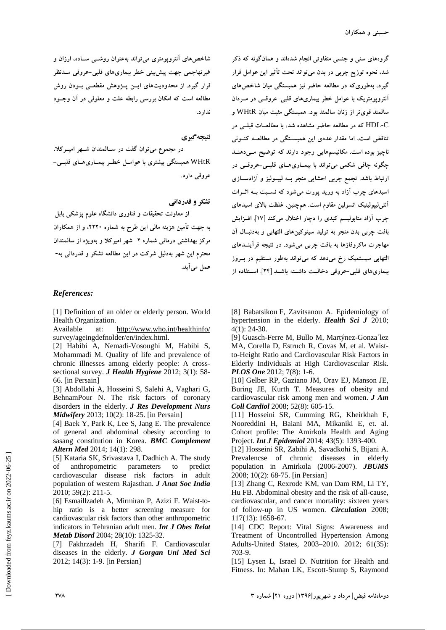**گروههاي سني و جنسي متفاوتي انجام شدهاند و همانگونه كه ذكر شد، نحوه توزيع چربي در بدن ميتواند تحت تأثير اين عوامل قرار گيرد، بهطوريكه در مطالعه حاضر نيز همبستگي ميان شاخصهاي آنتروپومتريك با عوامل خطر بيماريهاي قلبي-عروقـي در مـردان سالمند قويتر از زنان سالمند بود. همبستگي مثبت ميان** WHtR **و** C-HDL **كه در مطالعه حاضر مشاهده شد، با مطالعـات قبلـي در تناقض است، اما مقدار عددي اين همبسـتگي در مطالعـه كنـوني ناچيز بوده است. مكانيسمهايي وجود دارند كه توضيح مـيدهنـد چگونه چاقي شكمي ميتواند با بيمـاريهـاي قلبـي-عروقـي در ارتباط باشد. تجمع چربي احشايي منجر بـه ليپـوليز و آزادسـازي اسيدهاي چرب آزاد به وريد پورت ميشود كه نسـبت بـه اثـرات آنتيليپوليتيك انسولين مقاوم است. همچنين، غلظت بالاي اسيدهاي چرب آزاد متابوليسم كبدي را دچار اختلال ميكند [17]. افـزايش بافت چربي بدن منجر به توليد سيتوكينهاي التهابي و بهدنبـال آن مهاجرت ماكروفاژها به بافت چربي ميشود. در نتيجه فرآينـدهاي التهابي سيستميك رخ ميدهد كه ميتواند بهطور مستقيم در بـروز بيماريهاي قلبي-عروقي دخالـت داشـته باشـد [24]. اسـتفاده از**

[8] Babatsikou F, Zavitsanou A. Epidemiology of hypertension in the elderly. *Health Sci J* 2010; 4(1): 24-30.

[9] Guasch-Ferre M, Bullo M, Martýnez-Gonza´lez MA, Corella D, Estruch R, Covas M, et al. Waistto-Height Ratio and Cardiovascular Risk Factors in Elderly Individuals at High Cardiovascular Risk. *PLOS One* 2012; 7(8): 1-6.

[10] Gelber RP, Gaziano JM, Orav EJ, Manson JE, Buring JE, Kurth T. Measures of obesity and cardiovascular risk among men and women. *J Am Coll Cardiol* 2008; 52(8): 605-15.

[11] Hosseini SR, Cumming RG, Kheirkhah F, Nooreddini H, Baiani MA, Mikaniki E, et. al. Cohort profile: The Amirkola Health and Aging Project. *Int J Epidemiol* 2014; 43(5): 1393-400.

[12] Hosseini SR, Zabihi A, Savadkohi S, Bijani A. Prevalencse of chronic diseases in elderly population in Amirkola (2006-2007). *JBUMS* 2008; 10(2): 68-75. [in Persian]

[13] Zhang C, Rexrode KM, van Dam RM, Li TY, Hu FB. Abdominal obesity and the risk of all-cause, cardiovascular, and cancer mortality: sixteen years of follow-up in US women. *Circulation* 2008; 117(13): 1658-67.

[14] CDC Report: Vital Signs: Awareness and Treatment of Uncontrolled Hypertension Among Adults-United States, 2003–2010. 2012; 61(35): 703-9.

[15] Lysen L, Israel D. Nutrition for Health and Fitness. In: Mahan LK, Escott-Stump S, Raymond

**شاخصهاي آنتروپومتري ميتواند بهعنوان روشـي سـاده، ارزان و غيرتهاجمي جهت پيشبيني خطر بيماريهاي قلبي-عروقي مـدنظر قرار گيرد. از محدوديتهاي ايـن پـژوهش مقطعـي بـودن روش مطالعه است كه امكان بررسي رابطه علت و معلولي در آن وجـود ندارد.** 

**نتيجهگيري** 

**در مجموع ميتوان گفت در سـالمندان شـهر اميـركلا،** WHtR **همبستگي بيشتري با عوامـل خطـر بيمـاريهـاي قلبـي- عروقي دارد.** 

**تشكر و قدرداني** 

**از معاونت تحقيقات و فناوري دانشگاه علوم پزشكي بابل به جهت تأمين هزينه مالي اين طرح به شماره ،2220 و از همكاران مركز بهداشتي درماني شماره 2 شهر اميركلا و بهويژه از سالمندان محترم اين شهر بهدليل شركت در اين مطالعه تشكر و قدرداني به- عمل ميآيد.** 

#### *References:*

[1] Definition of an older or elderly person. World Health Organization.

Available at: http://www.who.int/healthinfo/ survey/ageingdefnolder/en/index.html.

[2] Habibi A, Nemadi-Vosoughi M, Habibi S, Mohammadi M. Quality of life and prevalence of chronic illnesses among elderly people: A crosssectional survey. *J Health Hygiene* 2012; 3(1): 58- 66. [in Persain]

[3] Abdollahi A, Hosseini S, Salehi A, Vaghari G, BehnamPour N. The risk factors of coronary disorders in the elderly. *J Res Development Nurs Midwifery* 2013; 10(2): 18-25. [in Persain]

[4] Baek Y, Park K, Lee S, Jang E. The prevalence of general and abdominal obesity according to sasang constitution in Korea. *BMC Complement Altern Med* 2014; 14(1): 298.

[5] Kataria SK, Srivastava I, Dadhich A. The study of anthropometric parameters to predict cardiovascular disease risk factors in adult population of western Rajasthan. *J Anat Soc India* 2010; 59(2): 211-5.

[6] Esmaillzadeh A, Mirmiran P, Azizi F. Waist-tohip ratio is a better screening measure for cardiovascular risk factors than other anthropometric indicators in Tehranian adult men. *Int J Obes Relat Metab Disord* 2004; 28(10): 1325-32.

[7] Fakhrzadeh H, Sharifi F. Cardiovascular diseases in the elderly. *J Gorgan Uni Med Sci* 2012; 14(3): 1-9. [in Persian]